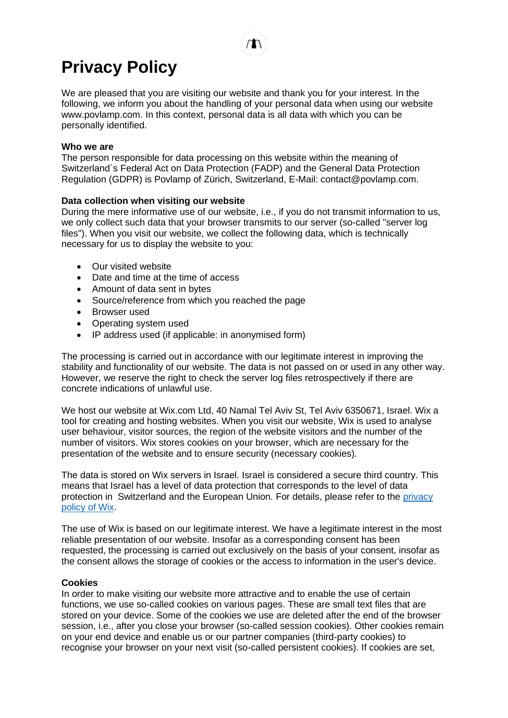We are pleased that you are visiting our website and thank you for your interest. In the following, we inform you about the handling of your personal data when using our website www.povlamp.com. In this context, personal data is all data with which you can be personally identified.

## **Who we are**

The person responsible for data processing on this website within the meaning of Switzerland`s Federal Act on Data Protection (FADP) and the General Data Protection Regulation (GDPR) is Povlamp of Zürich, Switzerland, E-Mail: contact@povlamp.com.

## **Data collection when visiting our website**

During the mere informative use of our website, i.e., if you do not transmit information to us, we only collect such data that your browser transmits to our server (so-called "server log files"). When you visit our website, we collect the following data, which is technically necessary for us to display the website to you:

- Our visited website
- Date and time at the time of access
- Amount of data sent in bytes
- Source/reference from which you reached the page
- Browser used
- Operating system used
- IP address used (if applicable: in anonymised form)

The processing is carried out in accordance with our legitimate interest in improving the stability and functionality of our website. The data is not passed on or used in any other way. However, we reserve the right to check the server log files retrospectively if there are concrete indications of unlawful use.

We host our website at Wix.com Ltd, 40 Namal Tel Aviv St, Tel Aviv 6350671, Israel. Wix a tool for creating and hosting websites. When you visit our website, Wix is used to analyse user behaviour, visitor sources, the region of the website visitors and the number of the number of visitors. Wix stores cookies on your browser, which are necessary for the presentation of the website and to ensure security (necessary cookies).

The data is stored on Wix servers in Israel. Israel is considered a secure third country. This means that Israel has a level of data protection that corresponds to the level of data protection in Switzerland and the European Union. For details, please refer to the privacy [policy of Wix.](https://www.wix.com/about/privacy)

The use of Wix is based on our legitimate interest. We have a legitimate interest in the most reliable presentation of our website. Insofar as a corresponding consent has been requested, the processing is carried out exclusively on the basis of your consent, insofar as the consent allows the storage of cookies or the access to information in the user's device.

## **Cookies**

In order to make visiting our website more attractive and to enable the use of certain functions, we use so-called cookies on various pages. These are small text files that are stored on your device. Some of the cookies we use are deleted after the end of the browser session, i.e., after you close your browser (so-called session cookies). Other cookies remain on your end device and enable us or our partner companies (third-party cookies) to recognise your browser on your next visit (so-called persistent cookies). If cookies are set,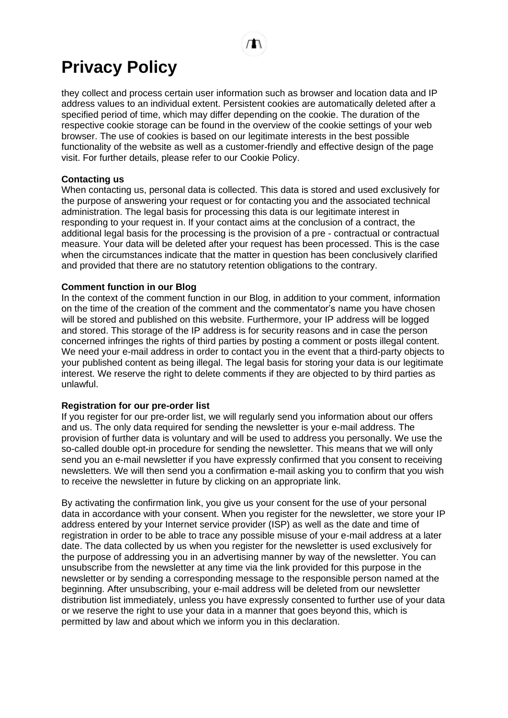they collect and process certain user information such as browser and location data and IP address values to an individual extent. Persistent cookies are automatically deleted after a specified period of time, which may differ depending on the cookie. The duration of the respective cookie storage can be found in the overview of the cookie settings of your web browser. The use of cookies is based on our legitimate interests in the best possible functionality of the website as well as a customer-friendly and effective design of the page visit. For further details, please refer to our Cookie Policy.

## **Contacting us**

When contacting us, personal data is collected. This data is stored and used exclusively for the purpose of answering your request or for contacting you and the associated technical administration. The legal basis for processing this data is our legitimate interest in responding to your request in. If your contact aims at the conclusion of a contract, the additional legal basis for the processing is the provision of a pre - contractual or contractual measure. Your data will be deleted after your request has been processed. This is the case when the circumstances indicate that the matter in question has been conclusively clarified and provided that there are no statutory retention obligations to the contrary.

## **Comment function in our Blog**

In the context of the comment function in our Blog, in addition to your comment, information on the time of the creation of the comment and the commentator's name you have chosen will be stored and published on this website. Furthermore, your IP address will be logged and stored. This storage of the IP address is for security reasons and in case the person concerned infringes the rights of third parties by posting a comment or posts illegal content. We need your e-mail address in order to contact you in the event that a third-party objects to your published content as being illegal. The legal basis for storing your data is our legitimate interest. We reserve the right to delete comments if they are objected to by third parties as unlawful.

## **Registration for our pre-order list**

If you register for our pre-order list, we will regularly send you information about our offers and us. The only data required for sending the newsletter is your e-mail address. The provision of further data is voluntary and will be used to address you personally. We use the so-called double opt-in procedure for sending the newsletter. This means that we will only send you an e-mail newsletter if you have expressly confirmed that you consent to receiving newsletters. We will then send you a confirmation e-mail asking you to confirm that you wish to receive the newsletter in future by clicking on an appropriate link.

By activating the confirmation link, you give us your consent for the use of your personal data in accordance with your consent. When you register for the newsletter, we store your IP address entered by your Internet service provider (ISP) as well as the date and time of registration in order to be able to trace any possible misuse of your e-mail address at a later date. The data collected by us when you register for the newsletter is used exclusively for the purpose of addressing you in an advertising manner by way of the newsletter. You can unsubscribe from the newsletter at any time via the link provided for this purpose in the newsletter or by sending a corresponding message to the responsible person named at the beginning. After unsubscribing, your e-mail address will be deleted from our newsletter distribution list immediately, unless you have expressly consented to further use of your data or we reserve the right to use your data in a manner that goes beyond this, which is permitted by law and about which we inform you in this declaration.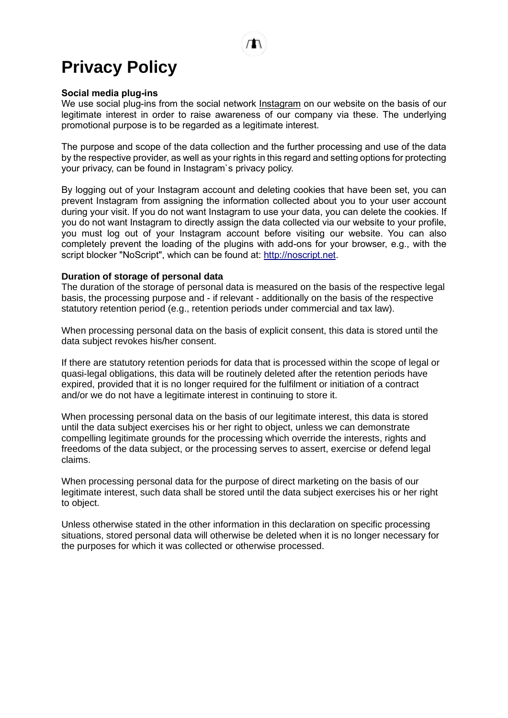#### **Social media plug-ins**

We use social plug-ins from the social network [Instagram](https://help.instagram.com/519522125107875) on our website on the basis of our legitimate interest in order to raise awareness of our company via these. The underlying promotional purpose is to be regarded as a legitimate interest.

The purpose and scope of the data collection and the further processing and use of the data by the respective provider, as well as your rights in this regard and setting options for protecting your privacy, can be found in Instagram`s privacy policy.

By logging out of your Instagram account and deleting cookies that have been set, you can prevent Instagram from assigning the information collected about you to your user account during your visit. If you do not want Instagram to use your data, you can delete the cookies. If you do not want Instagram to directly assign the data collected via our website to your profile, you must log out of your Instagram account before visiting our website. You can also completely prevent the loading of the plugins with add-ons for your browser, e.g., with the script blocker "NoScript", which can be found at: [http://noscript.net.](http://noscript.net/)

## **Duration of storage of personal data**

The duration of the storage of personal data is measured on the basis of the respective legal basis, the processing purpose and - if relevant - additionally on the basis of the respective statutory retention period (e.g., retention periods under commercial and tax law).

When processing personal data on the basis of explicit consent, this data is stored until the data subject revokes his/her consent.

If there are statutory retention periods for data that is processed within the scope of legal or quasi-legal obligations, this data will be routinely deleted after the retention periods have expired, provided that it is no longer required for the fulfilment or initiation of a contract and/or we do not have a legitimate interest in continuing to store it.

When processing personal data on the basis of our legitimate interest, this data is stored until the data subject exercises his or her right to object, unless we can demonstrate compelling legitimate grounds for the processing which override the interests, rights and freedoms of the data subject, or the processing serves to assert, exercise or defend legal claims.

When processing personal data for the purpose of direct marketing on the basis of our legitimate interest, such data shall be stored until the data subject exercises his or her right to object.

Unless otherwise stated in the other information in this declaration on specific processing situations, stored personal data will otherwise be deleted when it is no longer necessary for the purposes for which it was collected or otherwise processed.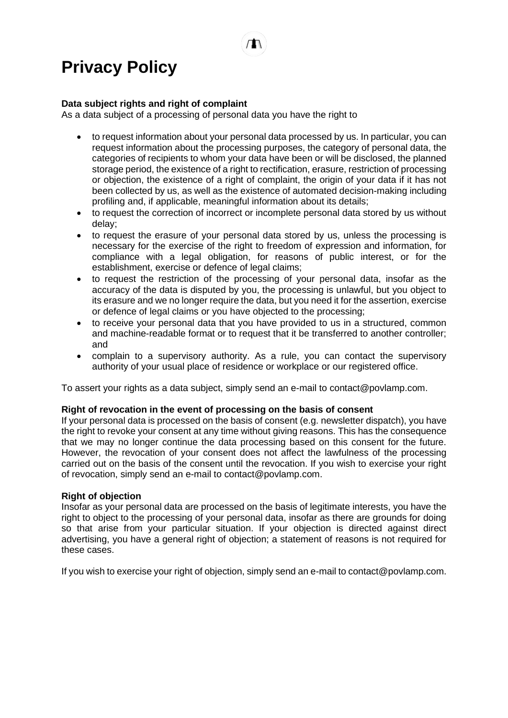## **Data subject rights and right of complaint**

As a data subject of a processing of personal data you have the right to

- to request information about your personal data processed by us. In particular, you can request information about the processing purposes, the category of personal data, the categories of recipients to whom your data have been or will be disclosed, the planned storage period, the existence of a right to rectification, erasure, restriction of processing or objection, the existence of a right of complaint, the origin of your data if it has not been collected by us, as well as the existence of automated decision-making including profiling and, if applicable, meaningful information about its details;
- to request the correction of incorrect or incomplete personal data stored by us without delay;
- to request the erasure of your personal data stored by us, unless the processing is necessary for the exercise of the right to freedom of expression and information, for compliance with a legal obligation, for reasons of public interest, or for the establishment, exercise or defence of legal claims;
- to request the restriction of the processing of your personal data, insofar as the accuracy of the data is disputed by you, the processing is unlawful, but you object to its erasure and we no longer require the data, but you need it for the assertion, exercise or defence of legal claims or you have objected to the processing;
- to receive your personal data that you have provided to us in a structured, common and machine-readable format or to request that it be transferred to another controller; and
- complain to a supervisory authority. As a rule, you can contact the supervisory authority of your usual place of residence or workplace or our registered office.

To assert your rights as a data subject, simply send an e-mail to contact@povlamp.com.

## **Right of revocation in the event of processing on the basis of consent**

If your personal data is processed on the basis of consent (e.g. newsletter dispatch), you have the right to revoke your consent at any time without giving reasons. This has the consequence that we may no longer continue the data processing based on this consent for the future. However, the revocation of your consent does not affect the lawfulness of the processing carried out on the basis of the consent until the revocation. If you wish to exercise your right of revocation, simply send an e-mail to contact@povlamp.com.

## **Right of objection**

Insofar as your personal data are processed on the basis of legitimate interests, you have the right to object to the processing of your personal data, insofar as there are grounds for doing so that arise from your particular situation. If your objection is directed against direct advertising, you have a general right of objection; a statement of reasons is not required for these cases.

If you wish to exercise your right of objection, simply send an e-mail to contact@povlamp.com.